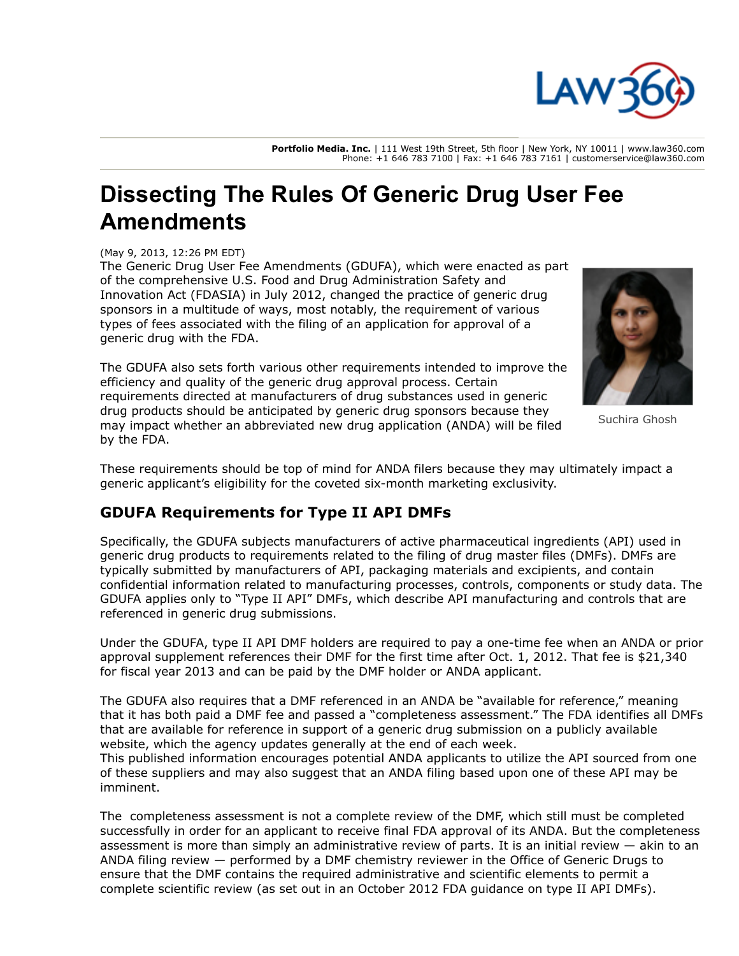

**Portfolio Media. Inc.** | 111 West 19th Street, 5th floor | New York, NY 10011 | www.law360.com Phone: +1 646 783 7100 | Fax: +1 646 783 7161 | customerservice@law360.com

## **Dissecting The Rules Of Generic Drug User Fee Amendments**

(May 9, 2013, 12:26 PM EDT)

The Generic Drug User Fee Amendments (GDUFA), which were enacted as part of the comprehensive [U.S. Food and Drug Administration Safety](https://www.law360.com/agencies/food-and-drug-administration) and Innovation Act (FDASIA) in July 2012, changed the practice of generic drug sponsors in a multitude of ways, most notably, the requirement of various types of fees associated with the filing of an application for approval of a generic drug with the FDA.

The GDUFA also sets forth various other requirements intended to improve the efficiency and quality of the generic drug approval process. Certain requirements directed at manufacturers of drug substances used in generic drug products should be anticipated by generic drug sponsors because they may impact whether an abbreviated new drug application (ANDA) will be filed by the FDA.



Suchira Ghosh

These requirements should be top of mind for ANDA filers because they may ultimately impact a generic applicant's eligibility for the coveted six-month marketing exclusivity.

## **GDUFA Requirements for Type II API DMFs**

Specifically, the GDUFA subjects manufacturers of active pharmaceutical ingredients (API) used in generic drug products to requirements related to the filing of drug master files (DMFs). DMFs are typically submitted by manufacturers of API, packaging materials and excipients, and contain confidential information related to manufacturing processes, controls, components or study data. The GDUFA applies only to "Type II API" DMFs, which describe API manufacturing and controls that are referenced in generic drug submissions.

Under the GDUFA, type II API DMF holders are required to pay a one-time fee when an ANDA or prior approval supplement references their DMF for the first time after Oct. 1, 2012. That fee is \$21,340 for fiscal year 2013 and can be paid by the DMF holder or ANDA applicant.

The GDUFA also requires that a DMF referenced in an ANDA be "available for reference," meaning that it has both paid a DMF fee and passed a "completeness assessment." The FDA identifies all DMFs that are available for reference in support of a generic drug submission on a publicly available website, which the agency updates generally at the end of each week.

This published information encourages potential ANDA applicants to utilize the API sourced from one of these suppliers and may also suggest that an ANDA filing based upon one of these API may be imminent.

The completeness assessment is not a complete review of the DMF, which still must be completed successfully in order for an applicant to receive final FDA approval of its ANDA. But the completeness assessment is more than simply an administrative review of parts. It is an initial review — akin to an ANDA filing review — performed by a DMF chemistry reviewer in the Office of Generic Drugs to ensure that the DMF contains the required administrative and scientific elements to permit a complete scientific review (as set out in an October 2012 FDA guidance on type II API DMFs).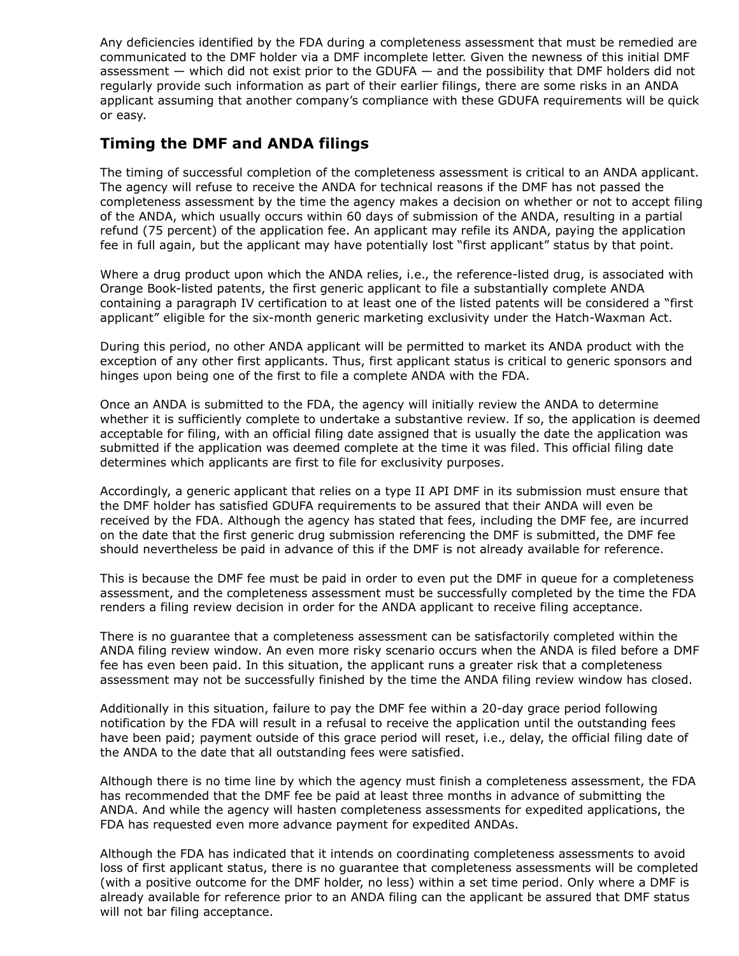Any deficiencies identified by the FDA during a completeness assessment that must be remedied are communicated to the DMF holder via a DMF incomplete letter. Given the newness of this initial DMF assessment — which did not exist prior to the GDUFA — and the possibility that DMF holders did not regularly provide such information as part of their earlier filings, there are some risks in an ANDA applicant assuming that another company's compliance with these GDUFA requirements will be quick or easy.

## **Timing the DMF and ANDA filings**

The timing of successful completion of the completeness assessment is critical to an ANDA applicant. The agency will refuse to receive the ANDA for technical reasons if the DMF has not passed the completeness assessment by the time the agency makes a decision on whether or not to accept filing of the ANDA, which usually occurs within 60 days of submission of the ANDA, resulting in a partial refund (75 percent) of the application fee. An applicant may refile its ANDA, paying the application fee in full again, but the applicant may have potentially lost "first applicant" status by that point.

Where a drug product upon which the ANDA relies, i.e., the reference-listed drug, is associated with Orange Book-listed patents, the first generic applicant to file a substantially complete ANDA containing a paragraph IV certification to at least one of the listed patents will be considered a "first applicant" eligible for the six-month generic marketing exclusivity under the Hatch-Waxman Act.

During this period, no other ANDA applicant will be permitted to market its ANDA product with the exception of any other first applicants. Thus, first applicant status is critical to generic sponsors and hinges upon being one of the first to file a complete ANDA with the FDA.

Once an ANDA is submitted to the FDA, the agency will initially review the ANDA to determine whether it is sufficiently complete to undertake a substantive review. If so, the application is deemed acceptable for filing, with an official filing date assigned that is usually the date the application was submitted if the application was deemed complete at the time it was filed. This official filing date determines which applicants are first to file for exclusivity purposes.

Accordingly, a generic applicant that relies on a type II API DMF in its submission must ensure that the DMF holder has satisfied GDUFA requirements to be assured that their ANDA will even be received by the FDA. Although the agency has stated that fees, including the DMF fee, are incurred on the date that the first generic drug submission referencing the DMF is submitted, the DMF fee should nevertheless be paid in advance of this if the DMF is not already available for reference.

This is because the DMF fee must be paid in order to even put the DMF in queue for a completeness assessment, and the completeness assessment must be successfully completed by the time the FDA renders a filing review decision in order for the ANDA applicant to receive filing acceptance.

There is no guarantee that a completeness assessment can be satisfactorily completed within the ANDA filing review window. An even more risky scenario occurs when the ANDA is filed before a DMF fee has even been paid. In this situation, the applicant runs a greater risk that a completeness assessment may not be successfully finished by the time the ANDA filing review window has closed.

Additionally in this situation, failure to pay the DMF fee within a 20-day grace period following notification by the FDA will result in a refusal to receive the application until the outstanding fees have been paid; payment outside of this grace period will reset, i.e., delay, the official filing date of the ANDA to the date that all outstanding fees were satisfied.

Although there is no time line by which the agency must finish a completeness assessment, the FDA has recommended that the DMF fee be paid at least three months in advance of submitting the ANDA. And while the agency will hasten completeness assessments for expedited applications, the FDA has requested even more advance payment for expedited ANDAs.

Although the FDA has indicated that it intends on coordinating completeness assessments to avoid loss of first applicant status, there is no guarantee that completeness assessments will be completed (with a positive outcome for the DMF holder, no less) within a set time period. Only where a DMF is already available for reference prior to an ANDA filing can the applicant be assured that DMF status will not bar filing acceptance.